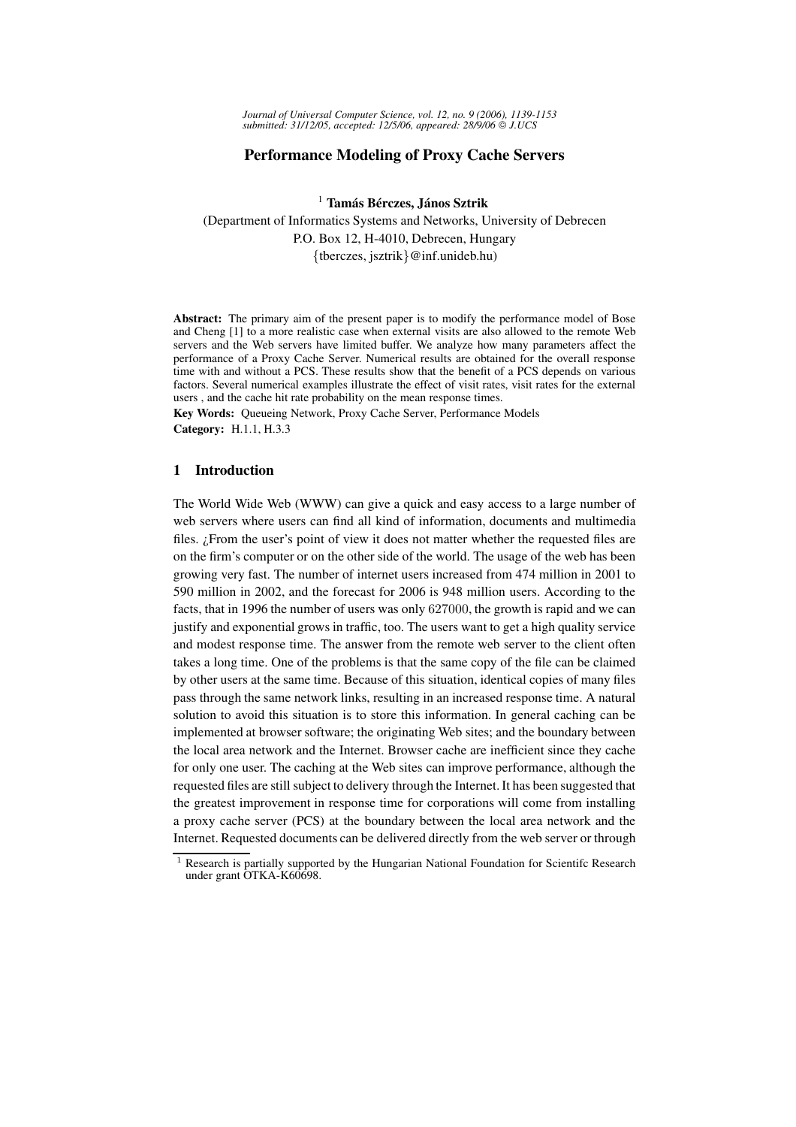# **Performance Modeling of Proxy Cache Servers**

<sup>1</sup> **Tamas´ Ber´ czes, Janos ´ Sztrik**

(Department of Informatics Systems and Networks, University of Debrecen P.O. Box 12, H-4010, Debrecen, Hungary {tberczes, jsztrik}@inf.unideb.hu)

**Abstract:** The primary aim of the present paper is to modify the performance model of Bose and Cheng [1] to a more realistic case when external visits are also allowed to the remote Web servers and the Web servers have limited buffer. We analyze how many parameters affect the performance of a Proxy Cache Server. Numerical results are obtained for the overall response time with and without a PCS. These results show that the benefit of a PCS depends on various factors. Several numerical examples illustrate the effect of visit rates, visit rates for the external users , and the cache hit rate probability on the mean response times.

**Key Words:** Queueing Network, Proxy Cache Server, Performance Models **Category:** H.1.1, H.3.3

# **1 Introduction**

The World Wide Web (WWW) can give a quick and easy access to a large number of web servers where users can find all kind of information, documents and multimedia files. ¿From the user's point of view it does not matter whether the requested files are on the firm's computer or on the other side of the world. The usage of the web has been growing very fast. The number of internet users increased from 474 million in 2001 to 590 million in 2002, and the forecast for 2006 is 948 million users. According to the facts, that in 1996 the number of users was only 627000, the growth is rapid and we can justify and exponential grows in traffic, too. The users want to get a high quality service and modest response time. The answer from the remote web server to the client often takes a long time. One of the problems is that the same copy of the file can be claimed by other users at the same time. Because of this situation, identical copies of many files pass through the same network links, resulting in an increased response time. A natural solution to avoid this situation is to store this information. In general caching can be implemented at browser software; the originating Web sites; and the boundary between the local area network and the Internet. Browser cache are inefficient since they cache for only one user. The caching at the Web sites can improve performance, although the requested files are still subject to delivery through the Internet.It has been suggested that the greatest improvement in response time for corporations will come from installing a proxy cache server (PCS) at the boundary between the local area network and the Internet. Requested documents can be delivered directly from the web server or through

<sup>&</sup>lt;sup>1</sup> Research is partially supported by the Hungarian National Foundation for Scientifc Research under grant OTKA-K60698.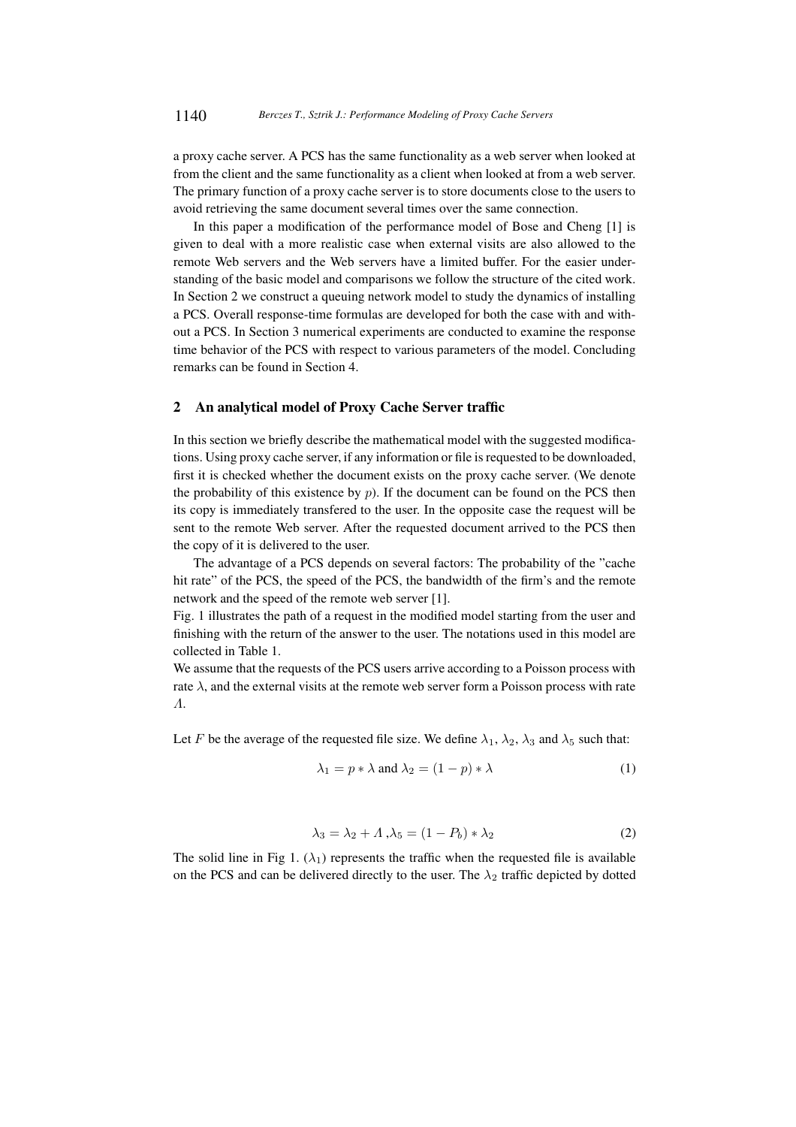a proxy cache server. A PCS has the same functionality as a web server when looked at from the client and the same functionality as a client when looked at from a web server. The primary function of a proxy cache server is to store documents close to the users to avoid retrieving the same document several times over the same connection.

In this paper a modification of the performance model of Bose and Cheng [1] is given to deal with a more realistic case when external visits are also allowed to the remote Web servers and the Web servers have a limited buffer. For the easier understanding of the basic model and comparisons we follow the structure of the cited work. In Section 2 we construct a queuing network model to study the dynamics of installing a PCS. Overall response-time formulas are developed for both the case with and without a PCS. In Section 3 numerical experiments are conducted to examine the response time behavior of the PCS with respect to various parameters of the model. Concluding remarks can be found in Section 4.

# **2 An analytical model of Proxy Cache Server traffic**

In this section we briefly describe the mathematical model with the suggested modifications. Using proxy cache server, if any information or file is requested to be downloaded, first it is checked whether the document exists on the proxy cache server. (We denote the probability of this existence by  $p$ ). If the document can be found on the PCS then its copy is immediately transfered to the user. In the opposite case the request will be sent to the remote Web server. After the requested document arrived to the PCS then the copy of it is delivered to the user.

The advantage of a PCS depends on several factors: The probability of the "cache hit rate" of the PCS, the speed of the PCS, the bandwidth of the firm's and the remote network and the speed of the remote web server [1].

Fig. 1 illustrates the path of a request in the modified model starting from the user and finishing with the return of the answer to the user. The notations used in this model are collected in Table 1.

We assume that the requests of the PCS users arrive according to a Poisson process with rate  $\lambda$ , and the external visits at the remote web server form a Poisson process with rate Λ.

Let F be the average of the requested file size. We define  $\lambda_1, \lambda_2, \lambda_3$  and  $\lambda_5$  such that:

$$
\lambda_1 = p * \lambda \text{ and } \lambda_2 = (1 - p) * \lambda \tag{1}
$$

$$
\lambda_3 = \lambda_2 + \Lambda \,, \lambda_5 = (1 - P_b) \ast \lambda_2 \tag{2}
$$

The solid line in Fig 1.  $(\lambda_1)$  represents the traffic when the requested file is available on the PCS and can be delivered directly to the user. The  $\lambda_2$  traffic depicted by dotted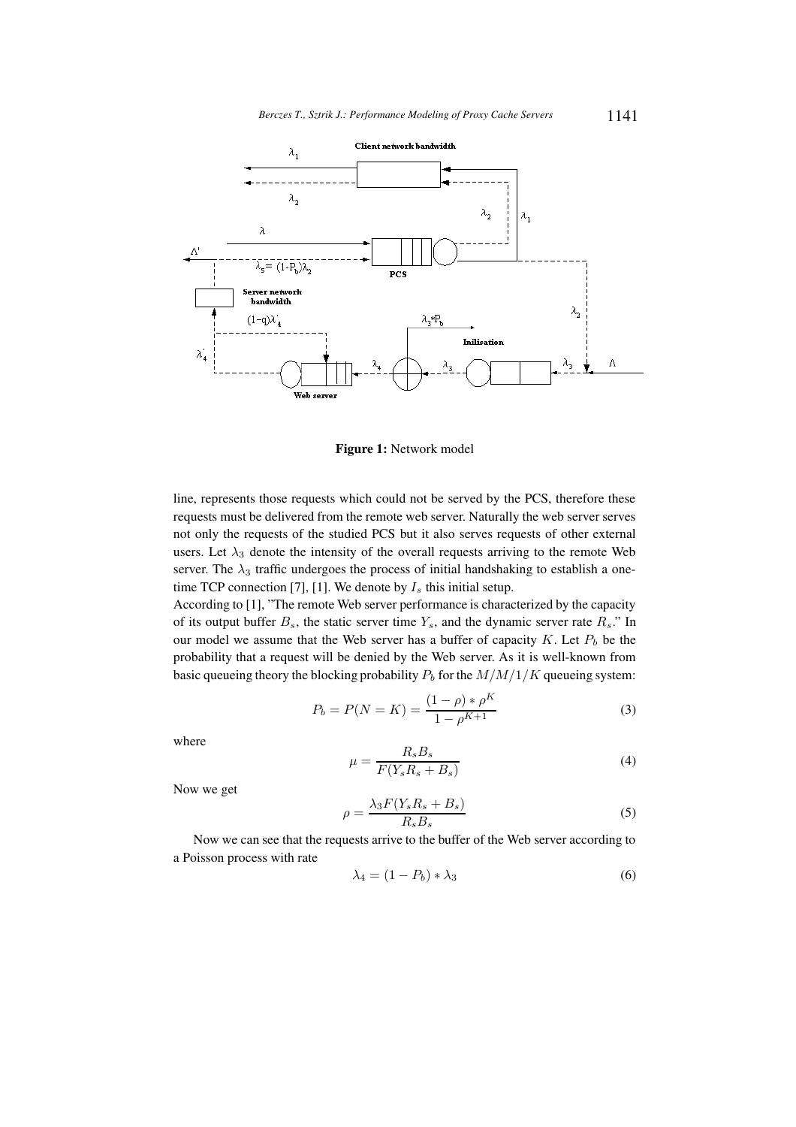

**Figure 1:** Network model

line, represents those requests which could not be served by the PCS, therefore these requests must be delivered from the remote web server. Naturally the web server serves not only the requests of the studied PCS but it also serves requests of other external users. Let  $\lambda_3$  denote the intensity of the overall requests arriving to the remote Web server. The  $\lambda_3$  traffic undergoes the process of initial handshaking to establish a onetime TCP connection [7], [1]. We denote by  $I_s$  this initial setup.

According to [1], "The remote Web server performance is characterized by the capacity of its output buffer  $B_s$ , the static server time  $Y_s$ , and the dynamic server rate  $R_s$ ." In our model we assume that the Web server has a buffer of capacity K. Let  $P_b$  be the probability that a request will be denied by the Web server. As it is well-known from basic queueing theory the blocking probability  $P_b$  for the  $M/M/1/K$  queueing system:

$$
P_b = P(N = K) = \frac{(1 - \rho) * \rho^K}{1 - \rho^{K+1}}
$$
\n(3)

where

$$
\mu = \frac{R_s B_s}{F(Y_s R_s + B_s)}\tag{4}
$$

Now we get

$$
\rho = \frac{\lambda_3 F(Y_s R_s + B_s)}{R_s B_s} \tag{5}
$$

Now we can see that the requests arrive to the buffer of the Web server according to a Poisson process with rate

$$
\lambda_4 = (1 - P_b) \ast \lambda_3 \tag{6}
$$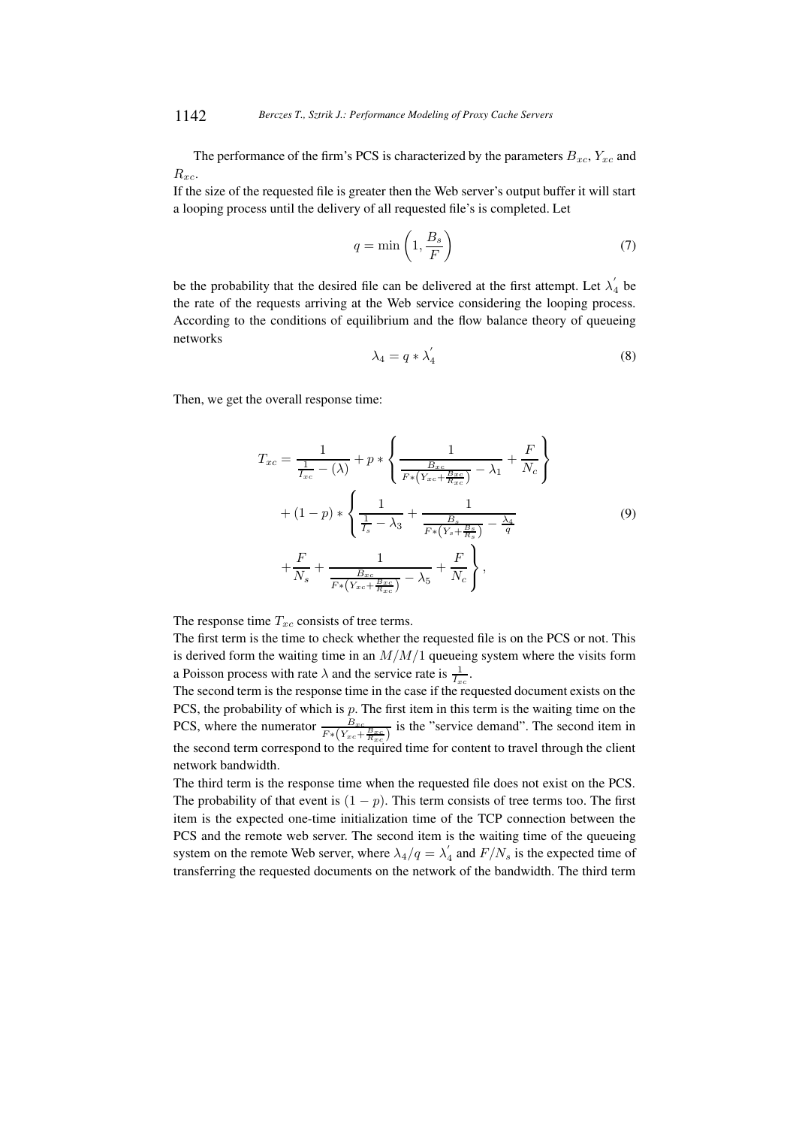The performance of the firm's PCS is characterized by the parameters  $B_{xc}$ ,  $Y_{xc}$  and  $R_{xc}$ .

If the size of the requested file is greater then the Web server's output buffer it will start a looping process until the delivery of all requested file's is completed. Let

$$
q = \min\left(1, \frac{B_s}{F}\right) \tag{7}
$$

be the probability that the desired file can be delivered at the first attempt. Let  $\lambda'_{\ell}$  $\frac{1}{4}$  be the rate of the requests arriving at the Web service considering the looping process. According to the conditions of equilibrium and the flow balance theory of queueing networks

$$
\lambda_4 = q * \lambda_4' \tag{8}
$$

Then, we get the overall response time:

$$
T_{xc} = \frac{1}{\frac{1}{I_{xc}} - (\lambda)} + p * \left\{ \frac{1}{\frac{B_{xc}}{F * (Y_{xc} + \frac{B_{xc}}{R_{xc}})} - \lambda_1} + \frac{F}{N_c} \right\}
$$
  
+  $(1 - p) * \left\{ \frac{1}{\frac{1}{I_s} - \lambda_3} + \frac{1}{\frac{B_s}{F * (Y_s + \frac{B_s}{R_s})} - \frac{\lambda_4}{q}} \right\}$  (9)  
+  $\frac{F}{N_s} + \frac{1}{\frac{B_{xc}}{F * (Y_{xc} + \frac{B_{xc}}{R_{xc}})} - \lambda_5} + \frac{F}{N_c} \right\},$ 

The response time  $T_{xc}$  consists of tree terms.

The first term is the time to check whether the requested file is on the PCS or not. This is derived form the waiting time in an  $M/M/1$  queueing system where the visits form a Poisson process with rate  $\lambda$  and the service rate is  $\frac{1}{I_{xc}}$ .

The second term is the response time in the case if the requested document exists on the PCS, the probability of which is  $p$ . The first item in this term is the waiting time on the PCS, where the numerator  $\frac{B_{xc}}{F*(Y_{xc} + \frac{B_{xc}}{R_{xc}})}$  is the "service demand". The second item in the second term correspond to the required time for content to travel through the client network bandwidth.

The third term is the response time when the requested file does not exist on the PCS. The probability of that event is  $(1 - p)$ . This term consists of tree terms too. The first item is the expected one-time initialization time of the TCP connection between the PCS and the remote web server. The second item is the waiting time of the queueing system on the remote Web server, where  $\lambda_4/q = \lambda_4'$  $\int_4$  and  $F/N_s$  is the expected time of transferring the requested documents on the network of the bandwidth. The third term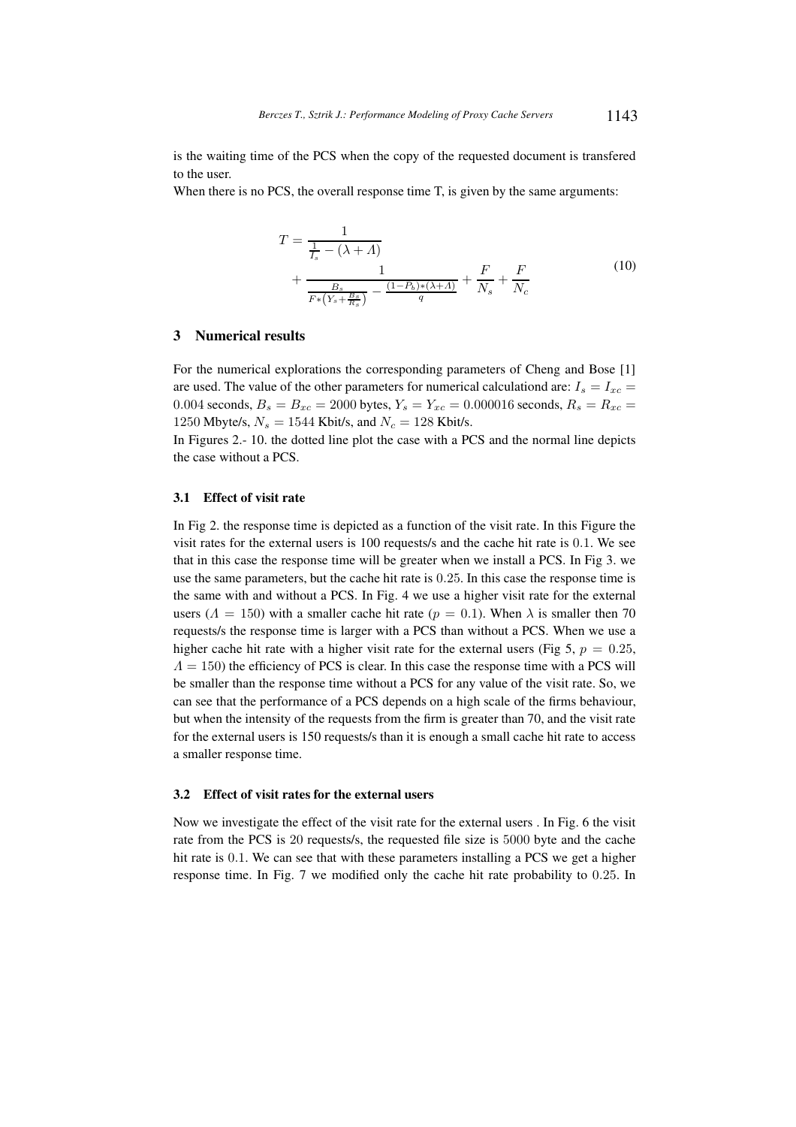is the waiting time of the PCS when the copy of the requested document is transfered to the user.

When there is no PCS, the overall response time T, is given by the same arguments:

$$
T = \frac{1}{\frac{1}{I_s} - (\lambda + A)}
$$
  
+ 
$$
\frac{1}{\frac{B_s}{F*(Y_s + \frac{B_s}{R_s})} - \frac{(1 - P_b) * (\lambda + A)}{q}} + \frac{F}{N_s} + \frac{F}{N_c}
$$
 (10)

## **3 Numerical results**

For the numerical explorations the corresponding parameters of Cheng and Bose [1] are used. The value of the other parameters for numerical calculationd are:  $I_s = I_{xc}$ 0.004 seconds,  $B_s = B_{xc} = 2000$  bytes,  $Y_s = Y_{xc} = 0.000016$  seconds,  $R_s = R_{xc} = 0.000016$ 1250 Mbyte/s,  $N_s = 1544$  Kbit/s, and  $N_c = 128$  Kbit/s.

In Figures 2.- 10. the dotted line plot the case with a PCS and the normal line depicts the case without a PCS.

### **3.1 Effect of visit rate**

In Fig 2. the response time is depicted as a function of the visit rate. In this Figure the visit rates for the external users is 100 requests/s and the cache hit rate is 0.1. We see that in this case the response time will be greater when we install a PCS. In Fig 3. we use the same parameters, but the cache hit rate is 0.25. In this case the response time is the same with and without a PCS. In Fig. 4 we use a higher visit rate for the external users ( $\Lambda = 150$ ) with a smaller cache hit rate ( $p = 0.1$ ). When  $\lambda$  is smaller then 70 requests/s the response time is larger with a PCS than without a PCS. When we use a higher cache hit rate with a higher visit rate for the external users (Fig 5,  $p = 0.25$ ,  $\Lambda = 150$ ) the efficiency of PCS is clear. In this case the response time with a PCS will be smaller than the response time without a PCS for any value of the visit rate. So, we can see that the performance of a PCS depends on a high scale of the firms behaviour, but when the intensity of the requests from the firm is greater than 70, and the visit rate for the external users is 150 requests/s than it is enough a small cache hit rate to access a smaller response time.

### **3.2 Effect of visit rates for the external users**

Now we investigate the effect of the visit rate for the external users . In Fig. 6 the visit rate from the PCS is 20 requests/s, the requested file size is 5000 byte and the cache hit rate is 0.1. We can see that with these parameters installing a PCS we get a higher response time. In Fig. 7 we modified only the cache hit rate probability to 0.25. In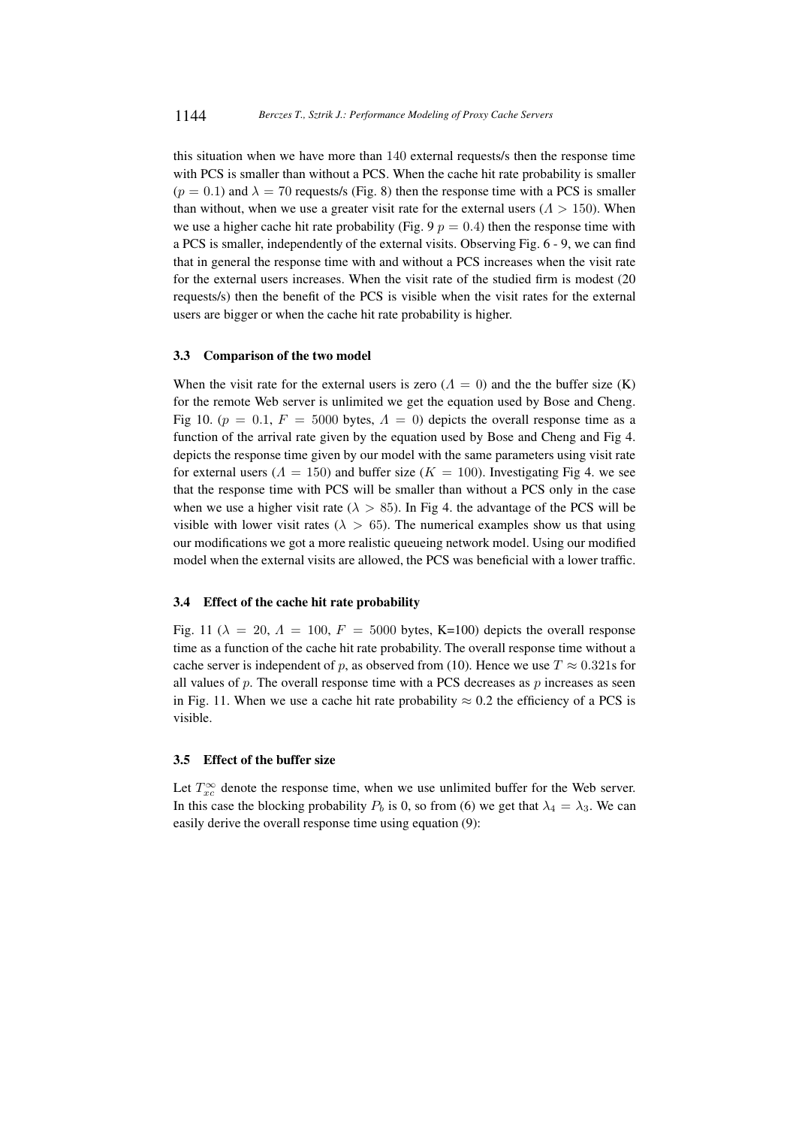this situation when we have more than 140 external requests/s then the response time with PCS is smaller than without a PCS. When the cache hit rate probability is smaller  $(p = 0.1)$  and  $\lambda = 70$  requests/s (Fig. 8) then the response time with a PCS is smaller than without, when we use a greater visit rate for the external users ( $\Lambda > 150$ ). When we use a higher cache hit rate probability (Fig. 9  $p = 0.4$ ) then the response time with a PCS is smaller, independently of the external visits. Observing Fig. 6 - 9, we can find that in general the response time with and without a PCS increases when the visit rate for the external users increases. When the visit rate of the studied firm is modest (20 requests/s) then the benefit of the PCS is visible when the visit rates for the external users are bigger or when the cache hit rate probability is higher.

#### **3.3 Comparison of the two model**

When the visit rate for the external users is zero ( $\Lambda = 0$ ) and the the buffer size (K) for the remote Web server is unlimited we get the equation used by Bose and Cheng. Fig 10. ( $p = 0.1$ ,  $F = 5000$  bytes,  $\Lambda = 0$ ) depicts the overall response time as a function of the arrival rate given by the equation used by Bose and Cheng and Fig 4. depicts the response time given by our model with the same parameters using visit rate for external users ( $\Lambda = 150$ ) and buffer size ( $K = 100$ ). Investigating Fig 4. we see that the response time with PCS will be smaller than without a PCS only in the case when we use a higher visit rate ( $\lambda > 85$ ). In Fig 4, the advantage of the PCS will be visible with lower visit rates ( $\lambda > 65$ ). The numerical examples show us that using our modifications we got a more realistic queueing network model. Using our modified model when the external visits are allowed, the PCS was beneficial with a lower traffic.

### **3.4 Effect of the cache hit rate probability**

Fig. 11 ( $\lambda = 20$ ,  $\Lambda = 100$ ,  $F = 5000$  bytes, K=100) depicts the overall response time as a function of the cache hit rate probability. The overall response time without a cache server is independent of p, as observed from (10). Hence we use  $T \approx 0.321$ s for all values of p. The overall response time with a PCS decreases as p increases as seen in Fig. 11. When we use a cache hit rate probability  $\approx 0.2$  the efficiency of a PCS is visible.

## **3.5 Effect of the buffer size**

Let  $T_{xc}^{\infty}$  denote the response time, when we use unlimited buffer for the Web server. In this case the blocking probability  $P_b$  is 0, so from (6) we get that  $\lambda_4 = \lambda_3$ . We can easily derive the overall response time using equation (9):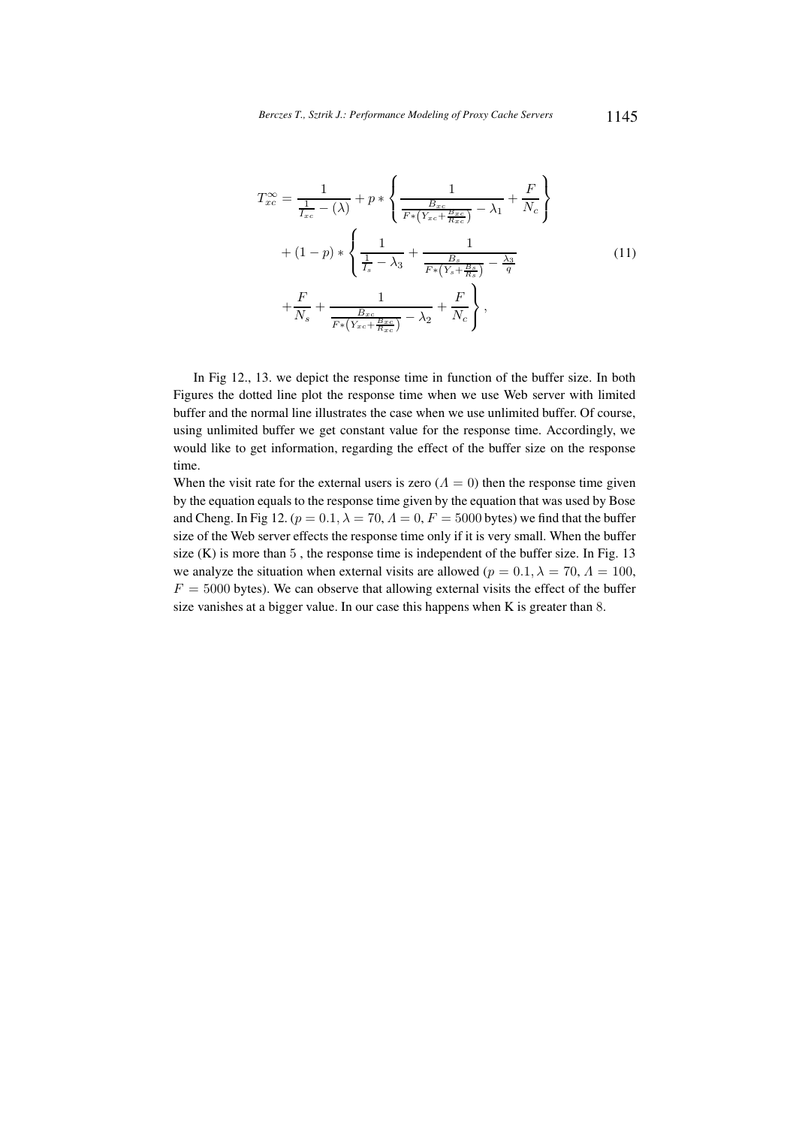$$
T_{xc}^{\infty} = \frac{1}{\frac{1}{I_{xc}} - (\lambda)} + p * \left\{ \frac{1}{\frac{B_{xc}}{F*(Y_{xc} + \frac{B_{xc}}{R_{xc}})} - \lambda_1} + \frac{F}{N_c} \right\}
$$
  
+  $(1 - p) * \left\{ \frac{1}{\frac{1}{I_s} - \lambda_3} + \frac{1}{\frac{B_s}{F*(Y_s + \frac{B_s}{R_s})} - \frac{\lambda_3}{q}} \right\}$  (11)  
+  $\frac{F}{N_s} + \frac{1}{\frac{B_{xc}}{F*(Y_{xc} + \frac{B_{xc}}{R_{xc}})} - \lambda_2} + \frac{F}{N_c} \right\},$ 

In Fig 12., 13. we depict the response time in function of the buffer size. In both Figures the dotted line plot the response time when we use Web server with limited buffer and the normal line illustrates the case when we use unlimited buffer. Of course, using unlimited buffer we get constant value for the response time. Accordingly, we would like to get information, regarding the effect of the buffer size on the response time.

When the visit rate for the external users is zero  $(Λ = 0)$  then the response time given by the equation equals to the response time given by the equation that was used by Bose and Cheng. In Fig 12. ( $p = 0.1$ ,  $\lambda = 70$ ,  $\Lambda = 0$ ,  $F = 5000$  bytes) we find that the buffer size of the Web server effects the response time only if it is very small. When the buffer size  $(K)$  is more than 5, the response time is independent of the buffer size. In Fig. 13 we analyze the situation when external visits are allowed ( $p = 0.1, \lambda = 70, \Lambda = 100$ ,  $F = 5000$  bytes). We can observe that allowing external visits the effect of the buffer size vanishes at a bigger value. In our case this happens when K is greater than 8.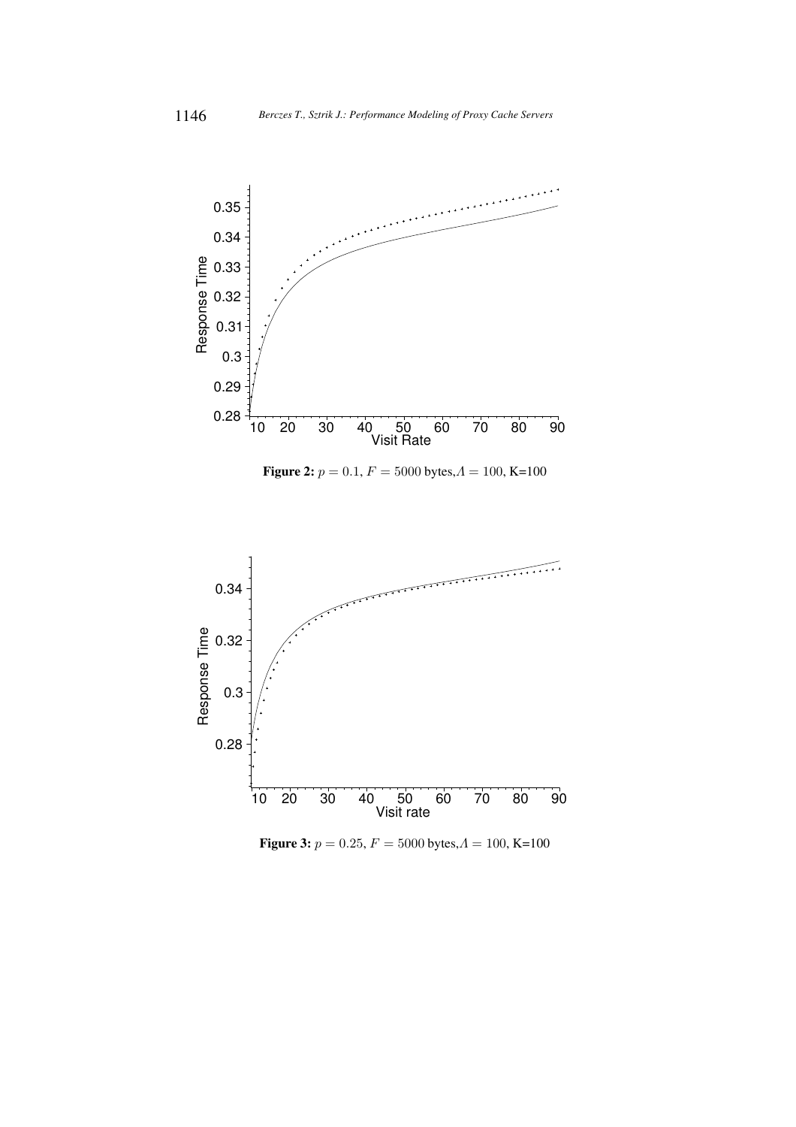

**Figure 2:**  $p = 0.1, F = 5000$  bytes,  $A = 100, K=100$ 



**Figure 3:**  $p = 0.25, F = 5000$  bytes, $A = 100, K=100$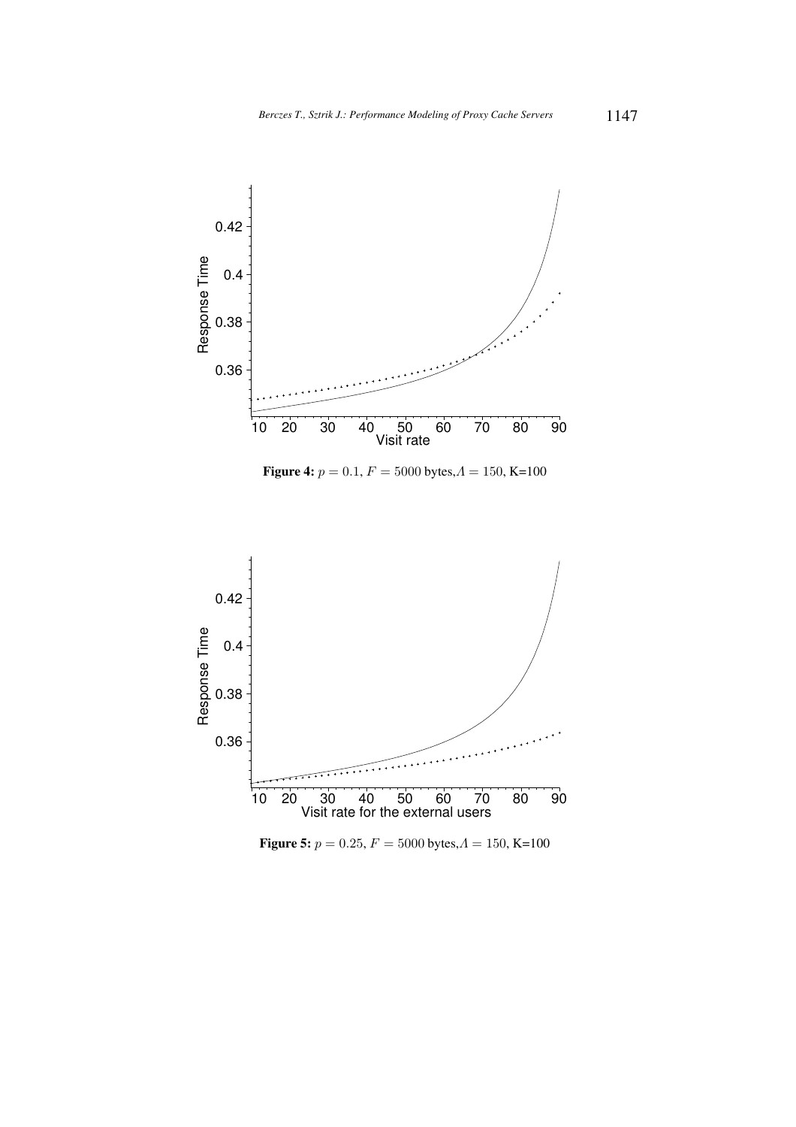

**Figure 4:**  $p = 0.1, F = 5000$  bytes,  $A = 150$ , K=100



**Figure 5:**  $p = 0.25, F = 5000$  bytes, $A = 150$ , K=100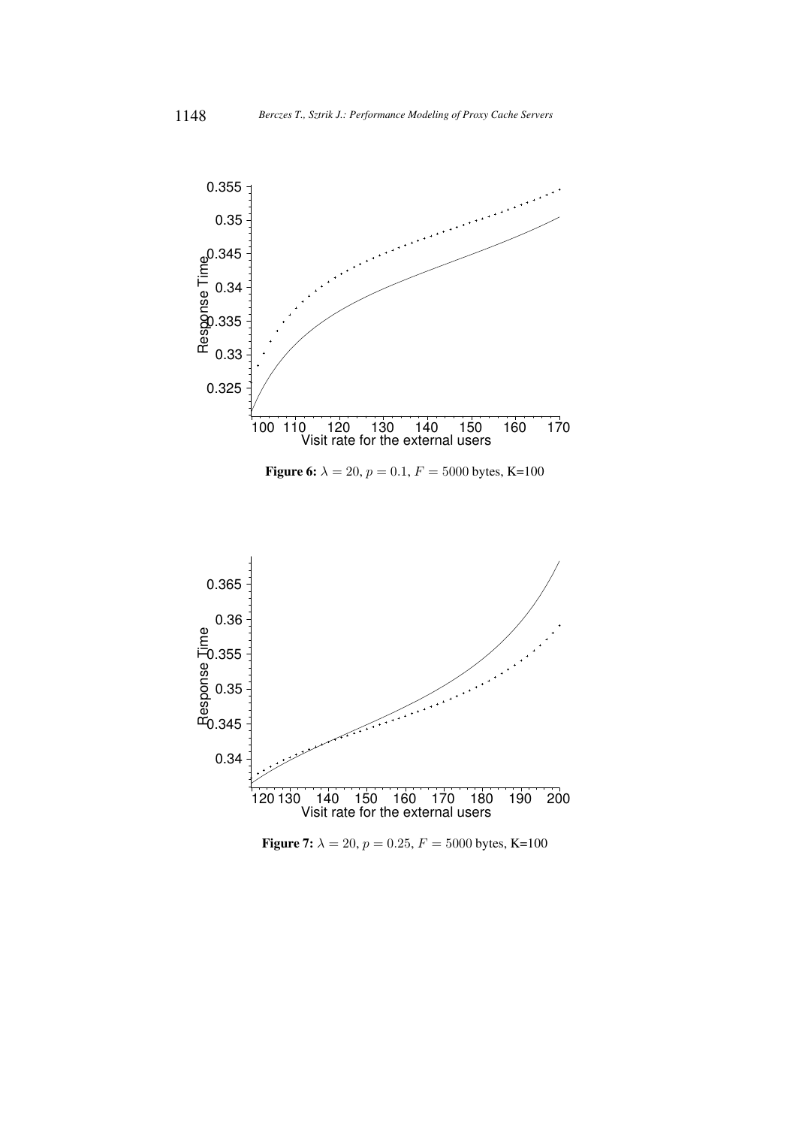

**Figure 6:**  $\lambda = 20$ ,  $p = 0.1$ ,  $F = 5000$  bytes, K=100



**Figure 7:**  $\lambda = 20$ ,  $p = 0.25$ ,  $F = 5000$  bytes, K=100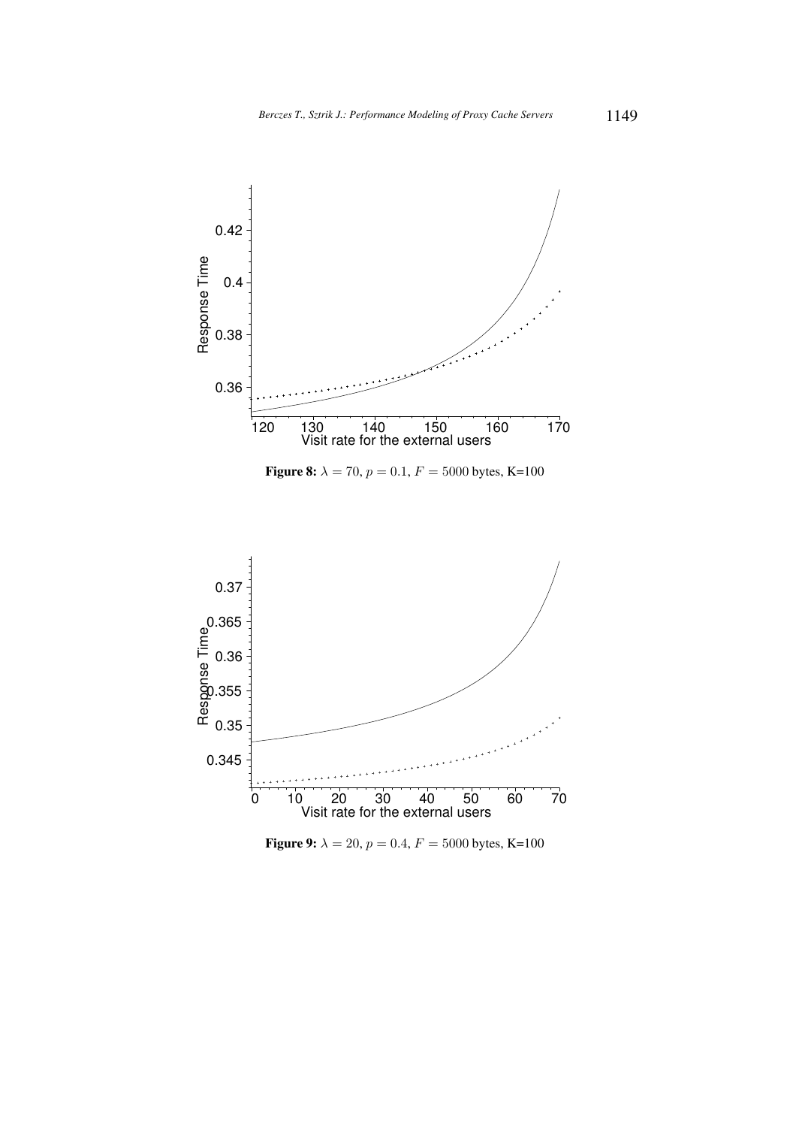

**Figure 8:**  $\lambda = 70$ ,  $p = 0.1$ ,  $F = 5000$  bytes, K=100



**Figure 9:**  $\lambda = 20$ ,  $p = 0.4$ ,  $F = 5000$  bytes, K=100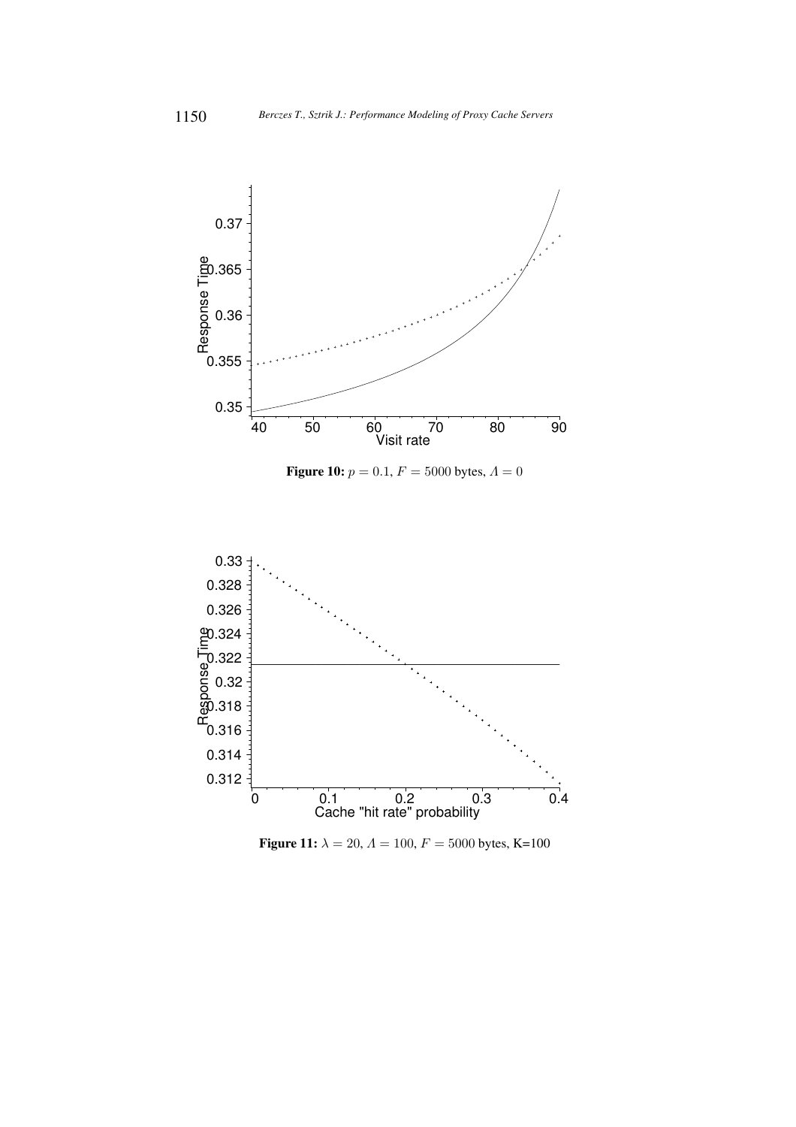

**Figure 11:**  $\lambda = 20$ ,  $\Lambda = 100$ ,  $F = 5000$  bytes, K=100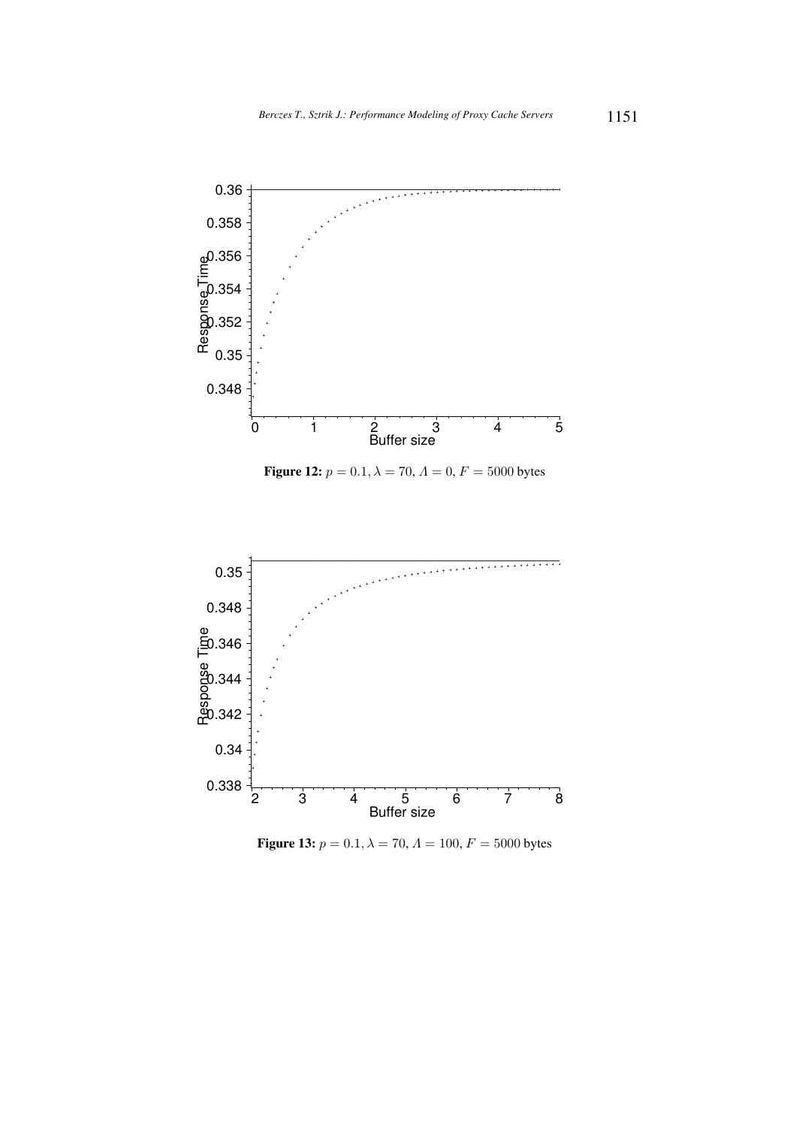

**Figure 12:**  $p = 0.1, \lambda = 70, \Lambda = 0, F = 5000$  bytes



**Figure 13:**  $p = 0.1, \lambda = 70, \Lambda = 100, F = 5000$  bytes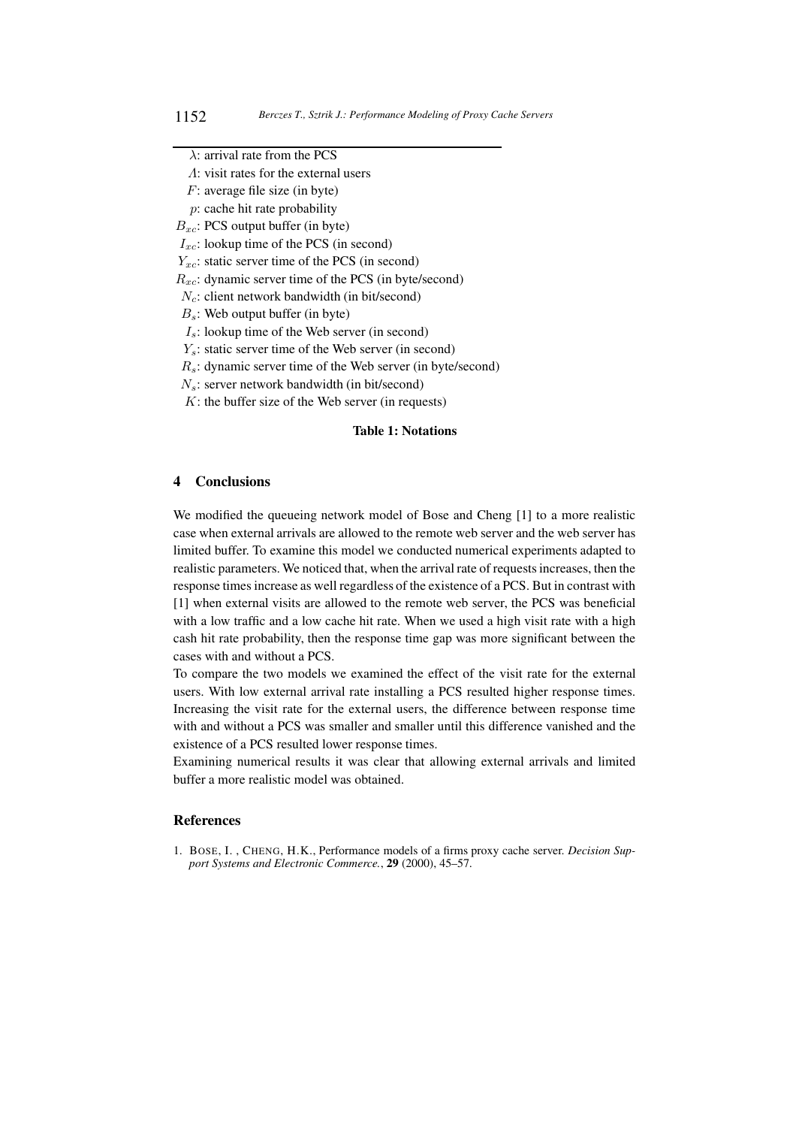- F: average file size (in byte)
- p: cache hit rate probability

 $B_{xc}$ : PCS output buffer (in byte)

 $I_{xc}$ : lookup time of the PCS (in second)

- $Y_{xc}$ : static server time of the PCS (in second)
- $R_{xc}$ : dynamic server time of the PCS (in byte/second)
- $N_c$ : client network bandwidth (in bit/second)
- $B_s$ : Web output buffer (in byte)
- $I_s$ : lookup time of the Web server (in second)
- $Y_s$ : static server time of the Web server (in second)
- $R_s$ : dynamic server time of the Web server (in byte/second)
- $N_s$ : server network bandwidth (in bit/second)
- $K$ : the buffer size of the Web server (in requests)

## **Table 1: Notations**

## **4 Conclusions**

We modified the queueing network model of Bose and Cheng [1] to a more realistic case when external arrivals are allowed to the remote web server and the web server has limited buffer. To examine this model we conducted numerical experiments adapted to realistic parameters. We noticed that, when the arrival rate of requestsincreases, then the response times increase as well regardless of the existence of a PCS. But in contrast with [1] when external visits are allowed to the remote web server, the PCS was beneficial with a low traffic and a low cache hit rate. When we used a high visit rate with a high cash hit rate probability, then the response time gap was more significant between the cases with and without a PCS.

To compare the two models we examined the effect of the visit rate for the external users. With low external arrival rate installing a PCS resulted higher response times. Increasing the visit rate for the external users, the difference between response time with and without a PCS was smaller and smaller until this difference vanished and the existence of a PCS resulted lower response times.

Examining numerical results it was clear that allowing external arrivals and limited buffer a more realistic model was obtained.

## **References**

1. BOSE, I. , CHENG, H.K., Performance models of a firms proxy cache server. *Decision Support Systems and Electronic Commerce.*, **29** (2000), 45–57.

 $\lambda$ : arrival rate from the PCS

Λ: visit rates for the external users